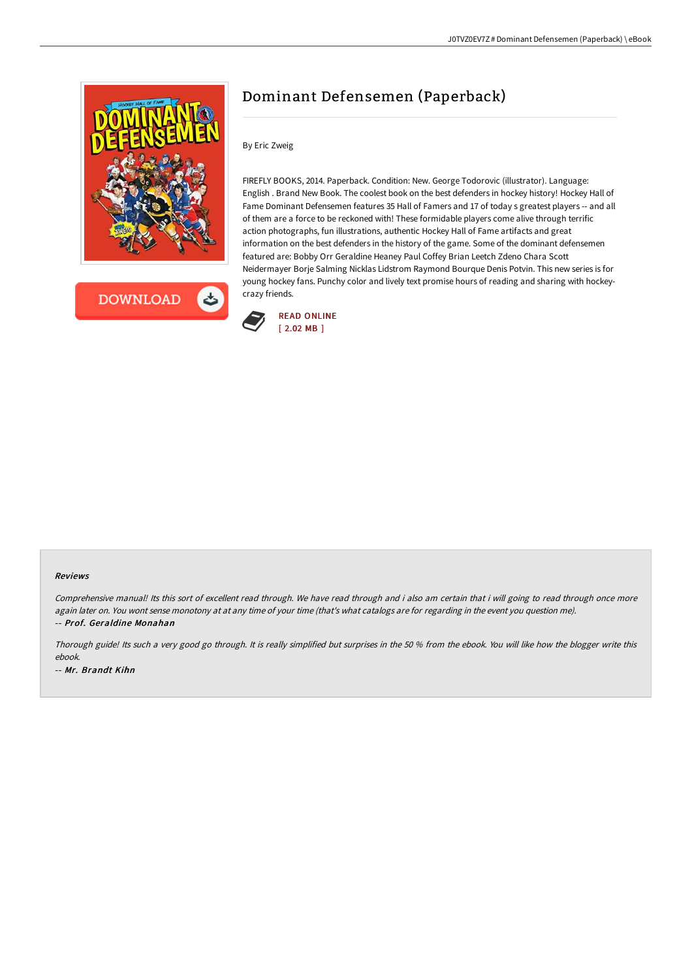



# Dominant Defensemen (Paperback)

# By Eric Zweig

FIREFLY BOOKS, 2014. Paperback. Condition: New. George Todorovic (illustrator). Language: English . Brand New Book. The coolest book on the best defenders in hockey history! Hockey Hall of Fame Dominant Defensemen features 35 Hall of Famers and 17 of today s greatest players -- and all of them are a force to be reckoned with! These formidable players come alive through terrific action photographs, fun illustrations, authentic Hockey Hall of Fame artifacts and great information on the best defenders in the history of the game. Some of the dominant defensemen featured are: Bobby Orr Geraldine Heaney Paul Coffey Brian Leetch Zdeno Chara Scott Neidermayer Borje Salming Nicklas Lidstrom Raymond Bourque Denis Potvin. This new series is for young hockey fans. Punchy color and lively text promise hours of reading and sharing with hockeycrazy friends.



#### Reviews

Comprehensive manual! Its this sort of excellent read through. We have read through and i also am certain that i will going to read through once more again later on. You wont sense monotony at at any time of your time (that's what catalogs are for regarding in the event you question me). -- Prof. Geraldine Monahan

Thorough guide! Its such <sup>a</sup> very good go through. It is really simplified but surprises in the <sup>50</sup> % from the ebook. You will like how the blogger write this ebook. -- Mr. Brandt Kihn